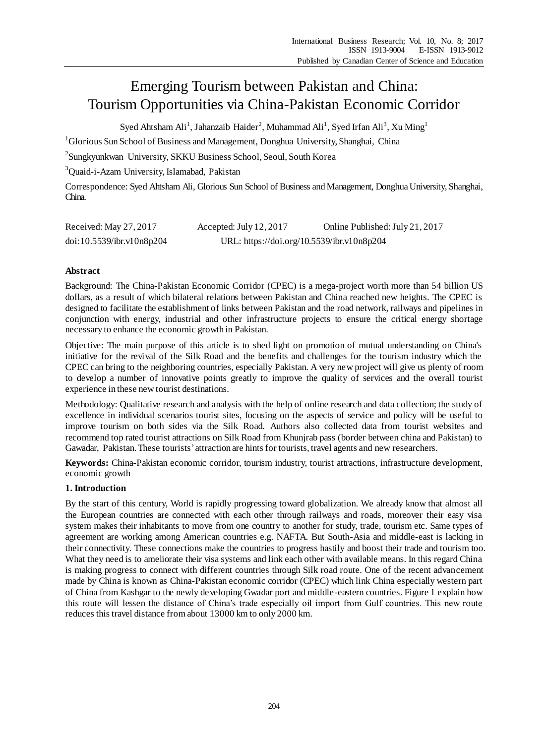# Emerging Tourism between Pakistan and China: Tourism Opportunities via China-Pakistan Economic Corridor

Syed Ahtsham Ali<sup>1</sup>, Jahanzaib Haider<sup>2</sup>, Muhammad Ali<sup>1</sup>, Syed Irfan Ali<sup>3</sup>, Xu Ming<sup>1</sup>

<sup>1</sup>Glorious Sun School of Business and Management, Donghua University, Shanghai, China

<sup>2</sup>Sungkyunkwan University, SKKU Business School, Seoul, South Korea

<sup>3</sup>Quaid-i-Azam University, Islamabad, Pakistan

Correspondence: Syed Ahtsham Ali, Glorious Sun School of Business and Management, Donghua University, Shanghai, China.

| Received: May 27, 2017    | Accepted: July $12, 2017$                  | Online Published: July 21, 2017 |
|---------------------------|--------------------------------------------|---------------------------------|
| doi:10.5539/ibr.v10n8p204 | URL: https://doi.org/10.5539/ibr.v10n8p204 |                                 |

# **Abstract**

Background: The China-Pakistan Economic Corridor (CPEC) is a mega-project worth more than 54 billion US dollars, as a result of which bilateral relations between Pakistan and China reached new heights. The CPEC is designed to facilitate the establishment of links between Pakistan and the road network, railways and pipelines in conjunction with energy, industrial and other infrastructure projects to ensure the critical energy shortage necessary to enhance the economic growth in Pakistan.

Objective: The main purpose of this article is to shed light on promotion of mutual understanding on China's initiative for the revival of the Silk Road and the benefits and challenges for the tourism industry which the CPEC can bring to the neighboring countries, especially Pakistan. A very new project will give us plenty of room to develop a number of innovative points greatly to improve the quality of services and the overall tourist experience in these new tourist destinations.

Methodology: Qualitative research and analysis with the help of online research and data collection; the study of excellence in individual scenarios tourist sites, focusing on the aspects of service and policy will be useful to improve tourism on both sides via the Silk Road. Authors also collected data from tourist websites and recommend top rated tourist attractions on Silk Road from Khunjrab pass (border between china and Pakistan) to Gawadar, Pakistan. These tourists'attraction are hints for tourists, travel agents and new researchers.

**Keywords:** China-Pakistan economic corridor, tourism industry, tourist attractions, infrastructure development, economic growth

# **1. Introduction**

By the start of this century, World is rapidly progressing toward globalization. We already know that almost all the European countries are connected with each other through railways and roads, moreover their easy visa system makes their inhabitants to move from one country to another for study, trade, tourism etc. Same types of agreement are working among American countries e.g. NAFTA. But South-Asia and middle-east is lacking in their connectivity. These connections make the countries to progress hastily and boost their trade and tourism too. What they need is to ameliorate their visa systems and link each other with available means. In this regard China is making progress to connect with different countries through Silk road route. One of the recent advancement made by China is known as China-Pakistan economic corridor (CPEC) which link China especially western part of China from Kashgar to the newly developing Gwadar port and middle-eastern countries. Figure 1 explain how this route will lessen the distance of China's trade especially oil import from Gulf countries. This new route reduces this travel distance from about 13000 km to only 2000 km.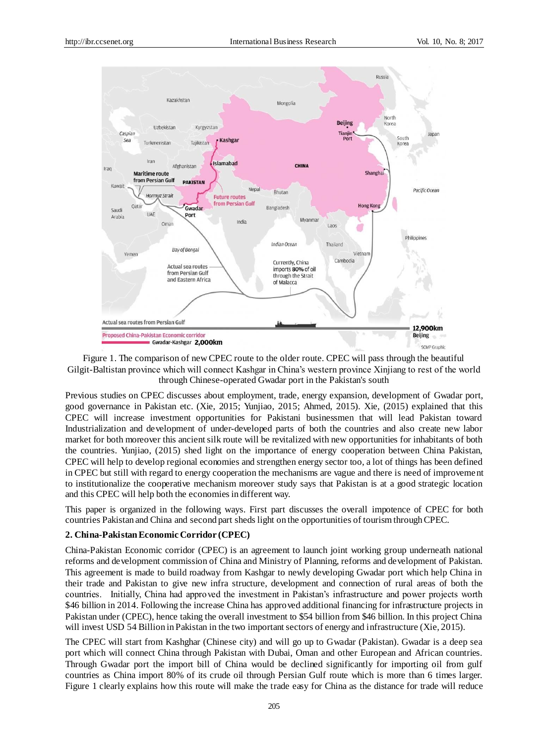

Figure 1. The comparison of new CPEC route to the older route. CPEC will pass through the beautiful Gilgit-Baltistan province which will connect Kashgar in China's western province Xinjiang to rest of the world through Chinese-operated Gwadar port in the Pakistan's south

Previous studies on CPEC discusses about employment, trade, energy expansion, development of Gwadar port, good governance in Pakistan etc. (Xie, 2015; Yunjiao, 2015; Ahmed, 2015). Xie, (2015) explained that this CPEC will increase investment opportunities for Pakistani businessmen that will lead Pakistan toward Industrialization and development of under-developed parts of both the countries and also create new labor market for both moreover this ancient silk route will be revitalized with new opportunities for inhabitants of both the countries. Yunjiao, (2015) shed light on the importance of energy cooperation between China Pakistan, CPEC will help to develop regional economies and strengthen energy sector too, a lot of things has been defined in CPEC but still with regard to energy cooperation the mechanisms are vague and there is need of improvement to institutionalize the cooperative mechanism moreover study says that Pakistan is at a good strategic location and this CPEC will help both the economies in different way.

This paper is organized in the following ways. First part discusses the overall impotence of CPEC for both countries Pakistan and China and second part sheds light on the opportunities of tourism through CPEC.

## **2. China-Pakistan Economic Corridor (CPEC)**

China-Pakistan Economic corridor (CPEC) is an agreement to launch joint working group underneath national reforms and development commission of China and Ministry of Planning, reforms and development of Pakistan. This agreement is made to build roadway from Kashgar to newly developing Gwadar port which help China in their trade and Pakistan to give new infra structure, development and connection of rural areas of both the countries. Initially, China had approved the investment in Pakistan's infrastructure and power projects worth \$46 billion in 2014. Following the increase China has approved additional financing for infrastructure projects in Pakistan under (CPEC), hence taking the overall investment to \$54 billion from \$46 billion. In this project China will invest USD 54 Billion in Pakistan in the two important sectors of energy and infrastructure (Xie, 2015).

The CPEC will start from Kashghar (Chinese city) and will go up to Gwadar (Pakistan). Gwadar is a deep sea port which will connect China through Pakistan with Dubai, Oman and other European and African countries. Through Gwadar port the import bill of China would be declined significantly for importing oil from gulf countries as China import 80% of its crude oil through Persian Gulf route which is more than 6 times larger. Figure 1 clearly explains how this route will make the trade easy for China as the distance for trade will reduce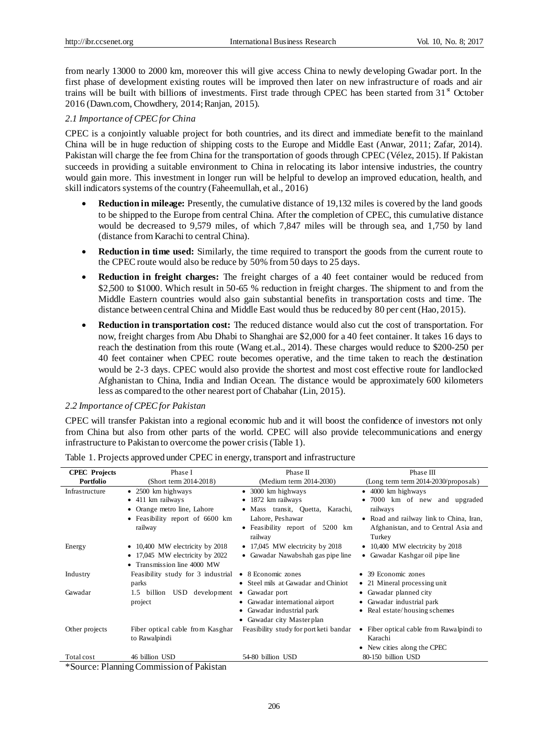from nearly 13000 to 2000 km, moreover this will give access China to newly developing Gwadar port. In the first phase of development existing routes will be improved then later on new infrastructure of roads and air trains will be built with billions of investments. First trade through CPEC has been started from  $31<sup>st</sup>$  October 2016 (Dawn.com, Chowdhery, 2014; Ranjan, 2015).

#### *2.1 Importance of CPEC for China*

CPEC is a conjointly valuable project for both countries, and its direct and immediate benefit to the mainland China will be in huge reduction of shipping costs to the Europe and Middle East (Anwar, 2011; Zafar, 2014). Pakistan will charge the fee from China for the transportation of goods through CPEC (Vélez, 2015). If Pakistan succeeds in providing a suitable environment to China in relocating its labor intensive industries, the country would gain more. This investment in longer run will be helpful to develop an improved education, health, and skill indicators systems of the country (Faheemullah, et al., 2016)

- **Reduction in mileage:** Presently, the cumulative distance of 19,132 miles is covered by the land goods to be shipped to the Europe from central China. After the completion of CPEC, this cumulative distance would be decreased to 9,579 miles, of which 7,847 miles will be through sea, and 1,750 by land (distance from Karachi to central China).
- **Reduction in time used:** Similarly, the time required to transport the goods from the current route to the CPEC route would also be reduce by 50% from 50 days to 25 days.
- **Reduction in freight charges:** The freight charges of a 40 feet container would be reduced from \$2,500 to \$1000. Which result in 50-65 % reduction in freight charges. The shipment to and from the Middle Eastern countries would also gain substantial benefits in transportation costs and time. The distance between central China and Middle East would thus be reduced by 80 per cent (Hao, 2015).
- **Reduction in transportation cost:** The reduced distance would also cut the cost of transportation. For now, freight charges from Abu Dhabi to Shanghai are \$2,000 for a 40 feet container. It takes 16 days to reach the destination from this route (Wang et.al., 2014). These charges would reduce to \$200-250 per 40 feet container when CPEC route becomes operative, and the time taken to reach the destination would be 2-3 days. CPEC would also provide the shortest and most cost effective route for landlocked Afghanistan to China, India and Indian Ocean. The distance would be approximately 600 kilometers less as compared to the other nearest port of Chabahar (Lin, 2015).

#### *2.2 Importance of CPEC for Pakistan*

CPEC will transfer Pakistan into a regional economic hub and it will boost the confidence of investors not only from China but also from other parts of the world. CPEC will also provide telecommunications and energy infrastructure to Pakistan to overcome the power crisis(Table 1).

| <b>CPEC</b> Projects | Phase I                                                                                                                      | Phase II                                                                                                                                    | Phase III                                                                                                                                                  |
|----------------------|------------------------------------------------------------------------------------------------------------------------------|---------------------------------------------------------------------------------------------------------------------------------------------|------------------------------------------------------------------------------------------------------------------------------------------------------------|
| Portfolio            | (Short term 2014-2018)                                                                                                       | (Medium term 2014-2030)                                                                                                                     | (Long term term 2014-2030/proposals)                                                                                                                       |
| Infrastructure       | • 2500 km highways<br>$\bullet$ 411 km railways<br>• Orange metro line, Lahore<br>• Feasibility report of 6600 km<br>railway | • 3000 km highways<br>$\bullet$ 1872 km railways<br>• Mass transit, Quetta, Karachi,<br>Lahore, Peshawar<br>• Feasibility report of 5200 km | $\bullet$ 4000 km highways<br>• 7000 km of new and upgraded<br>railways<br>• Road and railway link to China, Iran,<br>Afghanistan, and to Central Asia and |
| Energy               | $\bullet$ 10,400 MW electricity by 2018<br>$\bullet$ 17,045 MW electricity by 2022<br>• Transmission line 4000 MW            | railway<br>$\bullet$ 17,045 MW electricity by 2018<br>• Gawadar Nawabshah gas pipe line                                                     | Turkey<br>$\bullet$ 10,400 MW electricity by 2018<br>• Gawadar Kashgar oil pipe line                                                                       |
| Industry             | Feasibility study for 3 industrial<br>parks                                                                                  | • 8 Economic zones<br>• Steel mils at Gawadar and Chiniot                                                                                   | • 39 Economic zones<br>• 21 Mineral processing unit                                                                                                        |
| Gawadar              | 1.5 billion USD development<br>project                                                                                       | • Gawadar port<br>• Gawadar international airport<br>• Gawadar industrial park<br>• Gawadar city Masterplan                                 | • Gawadar planned city<br>• Gawadar industrial park<br>• Real estate/housing schemes                                                                       |
| Other projects       | Fiber optical cable from Kasghar<br>to Rawalpindi                                                                            | Feasibility study for port keti bandar                                                                                                      | • Fiber optical cable from Rawalpindi to<br>Karachi<br>• New cities along the CPEC                                                                         |
| Total cost           | 46 billion USD                                                                                                               | 54-80 billion USD                                                                                                                           | 80-150 billion USD                                                                                                                                         |

Table 1. Projects approved under CPEC in energy, transport and infrastructure

\*Source: Planning Commission of Pakistan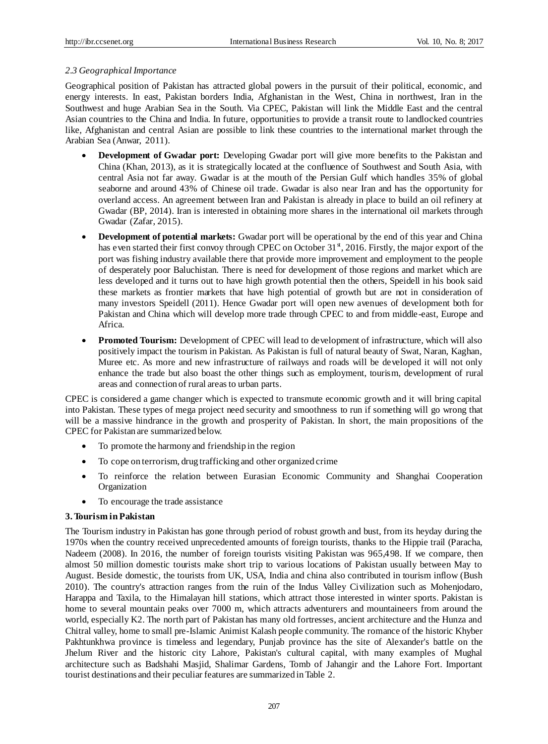## *2.3 Geographical Importance*

Geographical position of Pakistan has attracted global powers in the pursuit of their political, economic, and energy interests. In east, Pakistan borders India, Afghanistan in the West, China in northwest, Iran in the Southwest and huge Arabian Sea in the South. Via CPEC, Pakistan will link the Middle East and the central Asian countries to the China and India. In future, opportunities to provide a transit route to landlocked countries like, Afghanistan and central Asian are possible to link these countries to the international market through the Arabian Sea (Anwar, 2011).

- **Development of Gwadar port:** Developing Gwadar port will give more benefits to the Pakistan and China (Khan, 2013), as it is strategically located at the confluence of Southwest and South Asia, with central Asia not far away. Gwadar is at the mouth of the Persian Gulf which handles 35% of global seaborne and around 43% of Chinese oil trade. Gwadar is also near Iran and has the opportunity for overland access. An agreement between Iran and Pakistan is already in place to build an oil refinery at Gwadar (BP, 2014). Iran is interested in obtaining more shares in the international oil markets through Gwadar (Zafar, 2015).
- **Development of potential markets:** Gwadar port will be operational by the end of this year and China has even started their first convoy through CPEC on October 31<sup>s</sup>, 2016. Firstly, the major export of the port was fishing industry available there that provide more improvement and employment to the people of desperately poor Baluchistan. There is need for development of those regions and market which are less developed and it turns out to have high growth potential then the others, Speidell in his book said these markets as frontier markets that have high potential of growth but are not in consideration of many investors Speidell (2011). Hence Gwadar port will open new avenues of development both for Pakistan and China which will develop more trade through CPEC to and from middle-east, Europe and Africa.
- **Promoted Tourism:** Development of CPEC will lead to development of infrastructure, which will also positively impact the tourism in Pakistan. As Pakistan is full of natural beauty of Swat, Naran, Kaghan, Muree etc. As more and new infrastructure of railways and roads will be developed it will not only enhance the trade but also boast the other things such as employment, tourism, development of rural areas and connection of rural areas to urban parts.

CPEC is considered a game changer which is expected to transmute economic growth and it will bring capital into Pakistan. These types of mega project need security and smoothness to run if something will go wrong that will be a massive hindrance in the growth and prosperity of Pakistan. In short, the main propositions of the CPEC for Pakistan are summarized below.

- To promote the harmony and friendship in the region
- To cope on terrorism, drug trafficking and other organized crime
- To reinforce the relation between Eurasian Economic Community and Shanghai Cooperation Organization
- To encourage the trade assistance

# **3. Tourism in Pakistan**

The Tourism industry in Pakistan has gone through period of robust growth and bust, from its heyday during the 1970s when the country received unprecedented amounts of foreign tourists, thanks to the Hippie trail (Paracha, Nadeem (2008). In 2016, the number of foreign tourists visiting Pakistan was 965,498. If we compare, then almost 50 million domestic tourists make short trip to various locations of Pakistan usually between May to August. Beside domestic, the tourists from UK, USA, India and china also contributed in tourism inflow (Bush 2010). The country's attraction ranges from the ruin of the Indus Valley Civilization such as Mohenjodaro, Harappa and Taxila, to the Himalayan hill stations, which attract those interested in winter sports. Pakistan is home to several mountain peaks over 7000 m, which attracts adventurers and mountaineers from around the world, especially K2. The north part of Pakistan has many old fortresses, ancient architecture and the Hunza and Chitral valley, home to small pre-Islamic Animist Kalash people community. The romance of the historic Khyber Pakhtunkhwa province is timeless and legendary, Punjab province has the site of Alexander's battle on the Jhelum River and the historic city Lahore, Pakistan's cultural capital, with many examples of Mughal architecture such as Badshahi Masjid, Shalimar Gardens, Tomb of Jahangir and the Lahore Fort. Important tourist destinations and their peculiar features are summarized in Table 2.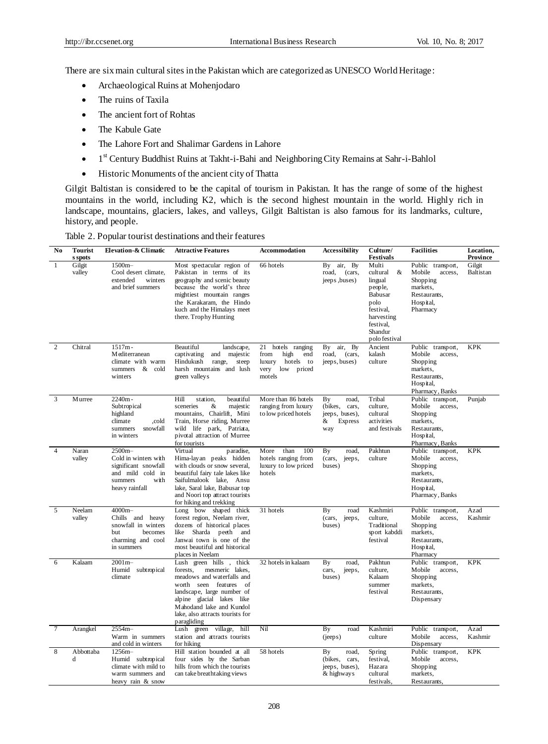There are six main cultural sites in the Pakistan which are categorized as UNESCO World Heritage:

- Archaeological Ruins at Mohenjodaro
- The ruins of Taxila
- The ancient fort of Rohtas
- The Kabule Gate
- The Lahore Fort and Shalimar Gardens in Lahore
- 1<sup>st</sup> Century Buddhist Ruins at Takht-i-Bahi and Neighboring City Remains at Sahr-i-Bahlol
- Historic Monuments of the ancient city of Thatta

Gilgit Baltistan is considered to be the capital of tourism in Pakistan. It has the range of some of the highest mountains in the world, including K2, which is the second highest mountain in the world. Highly rich in landscape, mountains, glaciers, lakes, and valleys, Gilgit Baltistan is also famous for its landmarks, culture, history, and people.

Table 2. Popular tourist destinations and their features

| No             | <b>Tourist</b><br>s spots | Elevation-& Climatic                                                                                               | <b>Attractive Features</b>                                                                                                                                                                                                                               | Accommodation                                                                                         | <b>Accessibility</b>                                                  | Culture/<br><b>Festivals</b>                                                                                                        | <b>Facilities</b>                                                                                                     | Location,<br>Province |
|----------------|---------------------------|--------------------------------------------------------------------------------------------------------------------|----------------------------------------------------------------------------------------------------------------------------------------------------------------------------------------------------------------------------------------------------------|-------------------------------------------------------------------------------------------------------|-----------------------------------------------------------------------|-------------------------------------------------------------------------------------------------------------------------------------|-----------------------------------------------------------------------------------------------------------------------|-----------------------|
| $\mathbf{1}$   | Gilgit<br>valley          | $1500m -$<br>Cool desert climate,<br>extended<br>winters<br>and brief summers                                      | Most spectacular region of<br>Pakistan in terms of its<br>geography and scenic beauty<br>because the world's three<br>mightiest mountain ranges<br>the Karakaram, the Hindo<br>kuch and the Himalays meet<br>there. Trophy Hunting                       | 66 hotels                                                                                             | By air, By<br>road,<br>(cars,<br>jeeps, buses)                        | Multi<br>cultural<br>&<br>lingual<br>people,<br>Babusar<br>polo<br>festival,<br>harvesting<br>festival.<br>Shandur<br>polo festival | Public transport,<br>Mobile<br>access,<br>Shopping<br>markets.<br>Restaurants,<br>Hospital,<br>Pharmacy               | Gilgit<br>Baltistan   |
| $\overline{2}$ | Chitral                   | 1517m-<br>Mediterranean<br>climate with warm<br>summers & cold<br>winters                                          | Beautiful<br>landscape,<br>and majestic<br>captivating<br>Hindukush<br>range,<br>steep<br>harsh mountains and lush<br>green valleys                                                                                                                      | hotels ranging<br>21<br>high<br>end<br>from<br>hotels to<br>luxury<br>low<br>very<br>priced<br>motels | By<br>air, By<br>road,<br>(cars,<br>jeeps, buses)                     | Ancient<br>kalash<br>culture                                                                                                        | Public transport,<br>Mobile<br>access,<br><b>Shopping</b><br>markets.<br>Restaurants,<br>Hospital,<br>Pharmacy, Banks | <b>KPK</b>            |
| 3              | Murree                    | $2240m -$<br>Subtropical<br>highland<br>climate<br>.cold<br>summers<br>snowfall<br>in winters                      | Hill<br>station,<br>beautiful<br>sceneries<br>&<br>majestic<br>mountains, Chairlift, Mini<br>Train, Horse riding, Murree<br>wild life park, Patriata,<br>pivotal attraction of Murree<br>for tourists                                                    | More than 86 hotels<br>ranging from luxury<br>to low priced hotels                                    | By<br>road,<br>(bikes, cars,<br>jeeps, buses),<br>&<br>Express<br>way | Tribal<br>culture,<br>cultural<br>activities<br>and festivals                                                                       | Public transport,<br>Mobile<br>access,<br>Shopping<br>markets.<br>Restaurants,<br>Hospital,<br>Pharmacy, Banks        | Punjab                |
| $\overline{4}$ | Naran<br>valley           | $2500m -$<br>Cold in winters with<br>significant snowfall<br>and mild cold in<br>with<br>summers<br>heavy rainfall | Virtual<br>paradise,<br>Hima-lay an peaks hidden<br>with clouds or snow several,<br>beautiful fairy tale lakes like<br>Saifulmalook lake, Ansu<br>lake, Saral lake, Babusar top<br>and Noori top attract tourists<br>for hiking and trekking             | than<br>100<br>More<br>hotels ranging from<br>luxury to low priced<br>hotels                          | By<br>road,<br>(cars,<br>jeeps,<br>buses)                             | Pakhtun<br>culture                                                                                                                  | Public transport,<br>Mobile<br>access,<br>Shopping<br>markets,<br>Restaurants,<br>Hospital,<br>Pharmacy, Banks        | <b>KPK</b>            |
| 5              | Neelam<br>valley          | $4000m -$<br>Chills and heavy<br>snowfall in winters<br>but<br>becomes<br>charming and cool<br>in summers          | Long bow shaped thick<br>forest region, Neelam river,<br>dozens of historical places<br>like<br>Sharda peeth and<br>Janwai town is one of the<br>most beautiful and historical<br>places in Neelam                                                       | 31 hotels                                                                                             | By<br>road<br>(cars,<br>jeeps,<br>buses)                              | Kashmiri<br>culture,<br>Traditional<br>sport kabddi<br>festival                                                                     | Public transport,<br>Mobile<br>access,<br>Shopping<br>markets,<br>Restaurants,<br>Hospital,<br>Pharmacy               | Azad<br>Kashmir       |
| 6              | Kalaam                    | $2001m -$<br>subtropical<br>Humid<br>climate                                                                       | Lush green hills, thick<br>forests.<br>mesmeric lakes,<br>meadows and waterfalls and<br>worth seen features of<br>landscape, large number of<br>alpine glacial lakes like<br>Mahodand lake and Kundol<br>lake, also attracts tourists for<br>paragliding | 32 hotels in kalaam                                                                                   | By<br>road.<br>cars,<br>jeeps,<br>buses)                              | Pakhtun<br>culture,<br>Kalaam<br>summer<br>festival                                                                                 | Public transport,<br>Mobile<br>access,<br><b>Shopping</b><br>markets.<br>Restaurants,<br>Dispensary                   | <b>KPK</b>            |
| 7              | Arangkel                  | 2554m-<br>Warm in summers<br>and cold in winters                                                                   | Lush green village, hill<br>station and attracts tourists<br>for hiking                                                                                                                                                                                  | Nil                                                                                                   | By<br>road<br>(jeeps)                                                 | Kashmiri<br>culture                                                                                                                 | Public transport,<br>Mobile<br>access,<br>Dispensary                                                                  | Azad<br>Kashmir       |
| 8              | Abbottaba<br>d            | 1256m-<br>Humid subtropical<br>climate with mild to<br>warm summers and<br>heavy rain & snow                       | Hill station bounded at all<br>four sides by the Sarban<br>hills from which the tourists<br>can take breathtaking views                                                                                                                                  | 58 hotels                                                                                             | By<br>road,<br>(bikes, cars,<br>jeeps, buses),<br>& highways          | Spring<br>festival.<br>Hazara<br>cultural<br>festivals.                                                                             | Public transport,<br>Mobile<br>access,<br>Shopping<br>markets.<br>Restaurants.                                        | <b>KPK</b>            |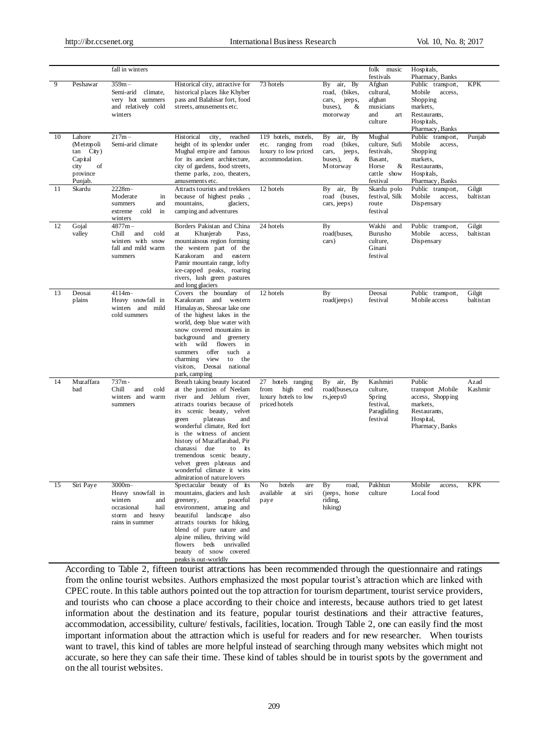|    |                          | fall in winters                         |                                                                            |                                                |                                   | folk music                  | Hospitals,                             |                     |
|----|--------------------------|-----------------------------------------|----------------------------------------------------------------------------|------------------------------------------------|-----------------------------------|-----------------------------|----------------------------------------|---------------------|
| 9  | Peshawar                 | $359m -$                                | Historical city, attractive for                                            | 73 hotels                                      | air, By<br>By                     | festivals<br>Afghan         | Pharmacy, Banks<br>Public transport,   | <b>KPK</b>          |
|    |                          | Semi-arid climate,<br>very hot summers  | historical places like Khyber<br>pass and Balahisar fort, food             |                                                | road, (bikes,<br>cars,<br>jeeps,  | cultural,<br>afghan         | Mobile<br>access,<br>Shopping          |                     |
|    |                          | and relatively cold<br>winters          | streets, amusements etc.                                                   |                                                | buses),<br>&<br>motorway          | musicians<br>and<br>art     | markets,<br>Restaurants,               |                     |
|    |                          |                                         |                                                                            |                                                |                                   | culture                     | Hospitals,<br>Pharmacy, Banks          |                     |
| 10 | Lahore<br>(Metropoli     | $217m -$<br>Semi-arid climate           | Historical<br>reached<br>city,<br>height of its splendor under             | 119 hotels, motels,<br>etc. ranging from       | By air, By<br>(bikes,<br>road     | Mughal<br>culture, Sufi     | Public transport,<br>Mobile<br>access, | Punjab              |
|    | $tan$ $City)$<br>Capital |                                         | Mughal empire and famous<br>for its ancient architecture,                  | luxury to low priced<br>accommodation.         | jeeps,<br>cars,<br>buses),<br>&   | festivals.<br>Basant,       | Shopping<br>markets,                   |                     |
|    | of<br>city<br>province   |                                         | city of gardens, food streets,<br>theme parks, zoo, theaters,              |                                                | Motorway                          | Horse<br>&<br>cattle show   | Restaurants,<br>Hospitals,             |                     |
| 11 | Punjab.<br>Skardu        | 2228m-                                  | amusements etc.<br>Attracts tourists and trekkers                          | 12 hotels                                      | By air, By                        | festival<br>Skardu polo     | Pharmacy, Banks<br>Public transport,   | Gilgit              |
|    |                          | Moderate<br>in<br>and<br>summers        | because of highest peaks,<br>mountains,<br>glaciers,                       |                                                | road (buses,<br>cars, jeeps)      | festival, Silk<br>route     | Mobile<br>access,<br>Dispensary        | baltistan           |
|    |                          | cold<br>in<br>extreme<br>winters        | camping and adventures                                                     |                                                |                                   | festival                    |                                        |                     |
| 12 | Gojal<br>valley          | $4877m -$<br>Chill<br>and<br>cold       | Borders Pakistan and China<br>Khunjerab<br>Pass.<br>at                     | 24 hotels                                      | By<br>road(buses,                 | Wakhi and<br><b>Burusho</b> | Public transport,<br>Mobile<br>access, | Gilgit<br>baltistan |
|    |                          | winters with snow<br>fall and mild warm | mountainous region forming<br>the western part of the                      |                                                | cars)                             | culture,<br>Ginani          | Dispensary                             |                     |
|    |                          | summers                                 | Karakoram and<br>eastern<br>Pamir mountain range, lofty                    |                                                |                                   | festival                    |                                        |                     |
|    |                          |                                         | ice-capped peaks, roaring                                                  |                                                |                                   |                             |                                        |                     |
| 13 |                          | 4114m-                                  | rivers, lush green pastures<br>and long glaciers<br>Covers the boundary of | 12 hotels                                      |                                   | Deosai                      |                                        |                     |
|    | Deosai<br>plains         | Heavy snowfall in                       | Karakoram and western                                                      |                                                | By<br>road(jeeps)                 | festival                    | Public transport,<br>M obile access    | Gilgit<br>baltistan |
|    |                          | winters and mild<br>cold summers        | Himalayas, Sheosar lake one<br>of the highest lakes in the                 |                                                |                                   |                             |                                        |                     |
|    |                          |                                         | world, deep blue water with<br>snow covered mountains in                   |                                                |                                   |                             |                                        |                     |
|    |                          |                                         | background and greenery<br>with<br>wild<br>flowers<br>in                   |                                                |                                   |                             |                                        |                     |
|    |                          |                                         | summers<br>offer<br>such a<br>charming<br>view<br>to the                   |                                                |                                   |                             |                                        |                     |
|    |                          |                                         | Deosai<br>visitors,<br>national<br>park, camping                           |                                                |                                   |                             |                                        |                     |
| 14 | Muzaffara<br>bad         | $737m -$<br>Chill<br>and<br>cold        | Breath taking beauty located<br>at the junction of Neelam                  | 27<br>hotels ranging<br>high<br>from<br>end    | air,<br>By<br>By<br>road(buses,ca | Kashmiri<br>culture,        | Public<br>transport , Mobile           | Azad<br>Kashmir     |
|    |                          | winters and warm<br>summers             | river and Jehlum river,<br>attracts tourists because of                    | luxury hotels to low<br>priced hotels          | rs, jeeps0                        | Spring<br>festival,         | access, Shopping<br>markets,           |                     |
|    |                          |                                         | its scenic beauty, velvet<br>plateaus<br>green<br>and                      |                                                |                                   | Paragliding<br>festival     | Restaurants,<br>Hospital,              |                     |
|    |                          |                                         | wonderful climate. Red fort<br>is the witness of ancient                   |                                                |                                   |                             | Pharmacy, Banks                        |                     |
|    |                          |                                         | history of Muzaffarabad, Pir<br>chanassi<br>due<br>to its                  |                                                |                                   |                             |                                        |                     |
|    |                          |                                         | tremendous scenic beauty,<br>velvet green plateaus and                     |                                                |                                   |                             |                                        |                     |
|    |                          |                                         | wonderful climate it wins<br>admiration of nature lovers                   |                                                |                                   |                             |                                        |                     |
| 15 | Siri Paye                | $3000m -$<br>Heavy snowfall in          | Spectacular beauty of its<br>mountains, glaciers and lush                  | No<br>hotels<br>are<br>available<br>at<br>siri | Вy<br>road,<br>(jeeps, horse      | Pakhtun<br>culture          | Mobile<br>access,<br>Local food        | <b>KPK</b>          |
|    |                          | winters<br>and<br>occasional<br>hail    | greenery,<br>peaceful<br>environment, amazing and                          | paye                                           | riding,<br>hiking)                |                             |                                        |                     |
|    |                          | storm and heavy<br>rains in summer      | beautiful landscape also<br>attracts tourists for hiking,                  |                                                |                                   |                             |                                        |                     |
|    |                          |                                         | blend of pure nature and<br>alpine milieu, thriving wild                   |                                                |                                   |                             |                                        |                     |
|    |                          |                                         | flowers beds unrivalled<br>beauty of snow covered                          |                                                |                                   |                             |                                        |                     |
|    |                          |                                         | peaks is out-worldly                                                       |                                                |                                   |                             |                                        |                     |

According to Table 2, fifteen tourist attractions has been recommended through the questionnaire and ratings from the online tourist websites. Authors emphasized the most popular tourist's attraction which are linked with CPEC route. In this table authors pointed out the top attraction for tourism department, tourist service providers, and tourists who can choose a place according to their choice and interests, because authors tried to get latest information about the destination and its feature, popular tourist destinations and their attractive features, accommodation, accessibility, culture/ festivals, facilities, location. Trough Table 2, one can easily find the most important information about the attraction which is useful for readers and for new researcher. When tourists want to travel, this kind of tables are more helpful instead of searching through many websites which might not accurate, so here they can safe their time. These kind of tables should be in tourist spots by the government and on the all tourist websites.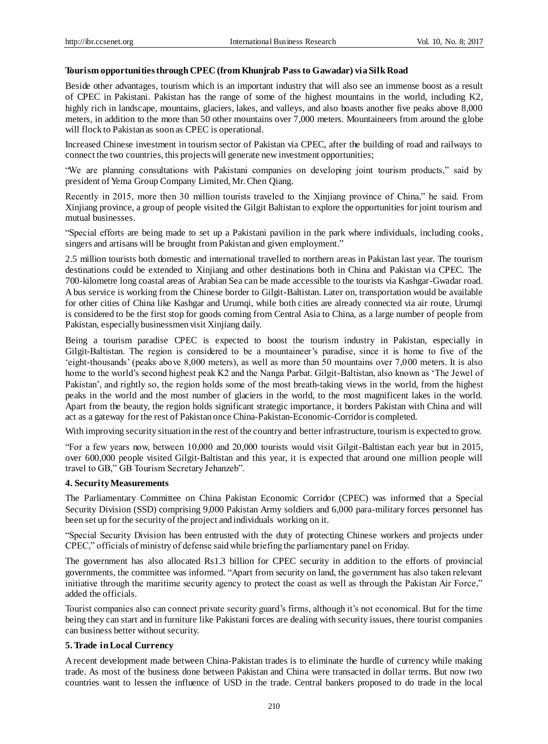## **Tourism opportunities through CPEC (from Khunjrab Pass to Gawadar) via Silk Road**

Beside other advantages, tourism which is an important industry that will also see an immense boost as a result of CPEC in Pakistani. Pakistan has the range of some of the highest mountains in the world, including K2, highly rich in landscape, mountains, glaciers, lakes, and valleys, and also boasts another five peaks above 8,000 meters, in addition to the more than 50 other mountains over 7,000 meters. Mountaineers from around the globe will flock to Pakistan as soon as CPEC is operational.

Increased Chinese investment in tourism sector of Pakistan via CPEC, after the building of road and railways to connect the two countries, this projects will generate new investment opportunities;

"We are planning consultations with Pakistani companies on developing joint tourism products," said by president of Yema Group Company Limited, Mr. Chen Qiang.

Recently in 2015, more then 30 million tourists traveled to the Xinjiang province of China," he said. From Xinjiang province, a group of people visited the Gilgit Baltistan to explore the opportunities for joint tourism and mutual businesses.

"Special efforts are being made to set up a Pakistani pavilion in the park where individuals, including cooks, singers and artisans will be brought from Pakistan and given employment."

2.5 million tourists both domestic and international travelled to northern areas in Pakistan last year. The tourism destinations could be extended to Xinjiang and other destinations both in China and Pakistan via CPEC. The 700-kilometre long coastal areas of Arabian Sea can be made accessible to the tourists via Kashgar-Gwadar road. A bus service is working from the Chinese border to Gilgit-Baltistan. Later on, transportation would be available for other cities of China like Kashgar and Urumqi, while both cities are already connected via air route. Urumqi is considered to be the first stop for goods coming from Central Asia to China, as a large number of people from Pakistan, especially businessmen visit Xinjiang daily.

Being a tourism paradise CPEC is expected to boost the tourism industry in Pakistan, especially in Gilgit-Baltistan. The region is considered to be a mountaineer's paradise, since it is home to five of the 'eight-thousands' (peaks above 8,000 meters), as well as more than 50 mountains over 7,000 meters. It is also home to the world's second highest peak K2 and the Nanga Parbat. Gilgit-Baltistan, also known as 'The Jewel of Pakistan', and rightly so, the region holds some of the most breath-taking views in the world, from the highest peaks in the world and the most number of glaciers in the world, to the most magnificent lakes in the world. Apart from the beauty, the region holds significant strategic importance, it borders Pakistan with China and will act as a gateway for the rest of Pakistan once China-Pakistan-Economic-Corridor is completed.

With improving security situation in the rest of the country and better infrastructure, tourism is expected to grow.

"For a few years now, between 10,000 and 20,000 tourists would visit Gilgit-Baltistan each year but in 2015, over 600,000 people visited Gilgit-Baltistan and this year, it is expected that around one million people will travel to GB," GB Tourism Secretary Jehanzeb".

## **4. Security Measurements**

The Parliamentary Committee on China Pakistan Economic Corridor (CPEC) was informed that a Special Security Division (SSD) comprising 9,000 Pakistan Army soldiers and 6,000 para-military forces personnel has been set up for the security of the project and individuals working on it.

"Special Security Division has been entrusted with the duty of protecting Chinese workers and projects under CPEC," officials of ministry of defense said while briefing the parliamentary panel on Friday.

The government has also allocated Rs1.3 billion for CPEC security in addition to the efforts of provincial governments, the committee was informed. "Apart from security on land, the government has also taken relevant initiative through the maritime security agency to protect the coast as well as through the Pakistan Air Force," added the officials.

Tourist companies also can connect private security guard's firms, although it's not economical. But for the time being they can start and in furniture like Pakistani forces are dealing with security issues, there tourist companies can business better without security.

## **5. Trade in Local Currency**

A recent development made between China-Pakistan trades is to eliminate the hurdle of currency while making trade. As most of the business done between Pakistan and China were transacted in dollar terms. But now two countries want to lessen the influence of USD in the trade. Central bankers proposed to do trade in the local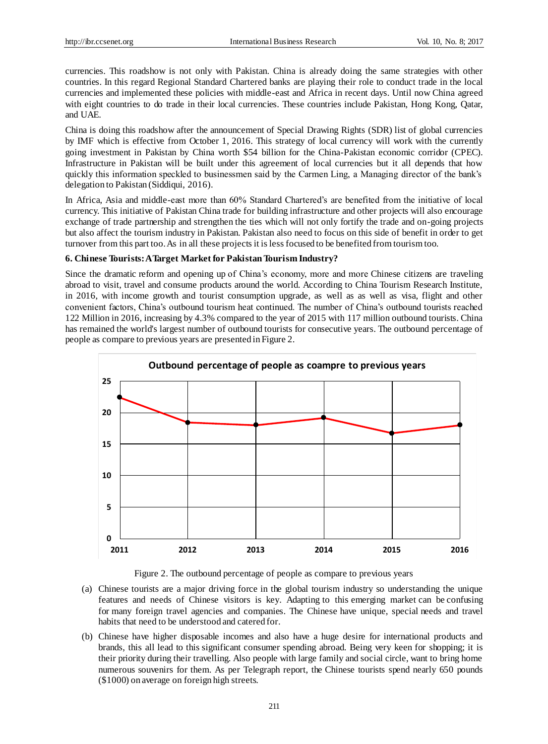currencies. This roadshow is not only with Pakistan. China is already doing the same strategies with other countries. In this regard Regional Standard Chartered banks are playing their role to conduct trade in the local currencies and implemented these policies with middle-east and Africa in recent days. Until now China agreed with eight countries to do trade in their local currencies. These countries include Pakistan, Hong Kong, Oatar, and UAE.

China is doing this roadshow after the announcement of Special Drawing Rights (SDR) list of global currencies by IMF which is effective from October 1, 2016. This strategy of local currency will work with the currently going investment in Pakistan by China worth \$54 billion for the China-Pakistan economic corridor (CPEC). Infrastructure in Pakistan will be built under this agreement of local currencies but it all depends that how quickly this information speckled to businessmen said by the Carmen Ling, a Managing director of the bank's delegation to Pakistan (Siddiqui, 2016).

In Africa, Asia and middle-east more than 60% Standard Chartered's are benefited from the initiative of local currency. This initiative of Pakistan China trade for building infrastructure and other projects will also encourage exchange of trade partnership and strengthen the ties which will not only fortify the trade and on-going projects but also affect the tourism industry in Pakistan. Pakistan also need to focus on this side of benefit in order to get turnover from this part too. As in all these projects it is less focused to be benefited from tourism too.

#### **6. Chinese Tourists: ATarget Market for Pakistan Tourism Industry?**

Since the dramatic reform and opening up of China's economy, more and more Chinese citizens are traveling abroad to visit, travel and consume products around the world. According to China Tourism Research Institute, in 2016, with income growth and tourist consumption upgrade, as well as as well as visa, flight and other convenient factors, China's outbound tourism heat continued. The number of China's outbound tourists reached 122 Million in 2016, increasing by 4.3% compared to the year of 2015 with 117 million outbound tourists. China has remained the world's largest number of outbound tourists for consecutive years. The outbound percentage of people as compare to previous years are presented in Figure 2.



Figure 2. The outbound percentage of people as compare to previous years

- (a) Chinese tourists are a major driving force in the global tourism industry so understanding the unique features and needs of Chinese visitors is key. Adapting to this emerging market can be confusing for many foreign travel agencies and companies. The Chinese have unique, special needs and travel habits that need to be understood and catered for.
- (b) Chinese have higher disposable incomes and also have a huge desire for international products and brands, this all lead to this significant consumer spending abroad. Being very keen for shopping; it is their priority during their travelling. Also people with large family and social circle, want to bring home numerous souvenirs for them. As per Telegraph report, the Chinese tourists spend nearly 650 pounds (\$1000) on average on foreign high streets.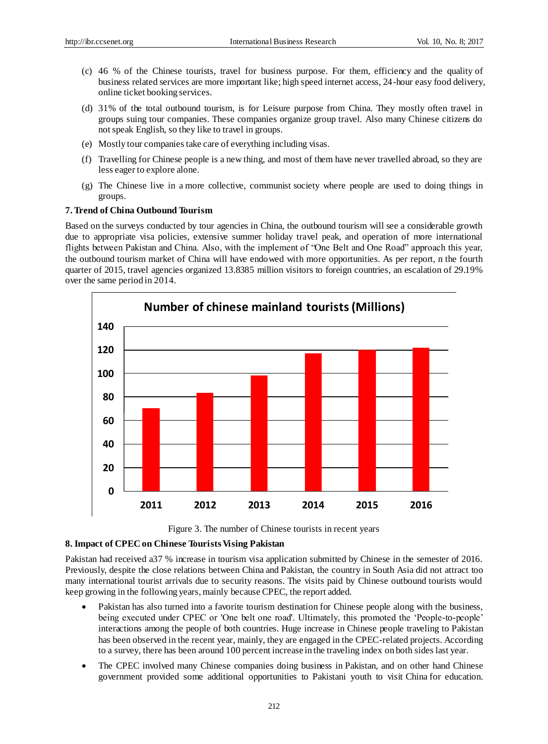- (c) 46 % of the Chinese tourists, travel for business purpose. For them, efficiency and the quality of business related services are more important like; high speed internet access, 24-hour easy food delivery, online ticket booking services.
- (d) 31% of the total outbound tourism, is for Leisure purpose from China. They mostly often travel in groups suing tour companies. These companies organize group travel. Also many Chinese citizens do not speak English, so they like to travel in groups.
- (e) Mostly tour companies take care of everything including visas.
- (f) Travelling for Chinese people is a new thing, and most of them have never travelled abroad, so they are less eager to explore alone.
- (g) The Chinese live in a more collective, communist society where people are used to doing things in groups.

#### **7. Trend of China Outbound Tourism**

Based on the surveys conducted by tour agencies in China, the outbound tourism will see a considerable growth due to appropriate visa policies, extensive summer holiday travel peak, and operation of more international flights between Pakistan and China. Also, with the implement of "One Belt and One Road" approach this year, the outbound tourism market of China will have endowed with more opportunities. As per report, n the fourth quarter of 2015, travel agencies organized 13.8385 million visitors to foreign countries, an escalation of 29.19% over the same period in 2014.



Figure 3. The number of Chinese tourists in recent years

## **8. Impact of CPEC on Chinese Tourists Vising Pakistan**

Pakistan had received a37 % increase in tourism visa application submitted by Chinese in the semester of 2016. Previously, despite the close relations between China and Pakistan, the country in South Asia did not attract too many international tourist arrivals due to security reasons. The visits paid by Chinese outbound tourists would keep growing in the following years, mainly because CPEC, the report added.

- Pakistan has also turned into a favorite tourism destination for Chinese people along with the business, being executed under CPEC or 'One belt one road'. Ultimately, this promoted the 'People-to-people' interactions among the people of both countries. Huge increase in Chinese people traveling to Pakistan has been observed in the recent year, mainly, they are engaged in the CPEC-related projects. According to a survey, there has been around 100 percent increase in the traveling index on both sides last year.
- The CPEC involved many Chinese companies doing business in Pakistan, and on other hand Chinese government provided some additional opportunities to Pakistani youth to visit China for education.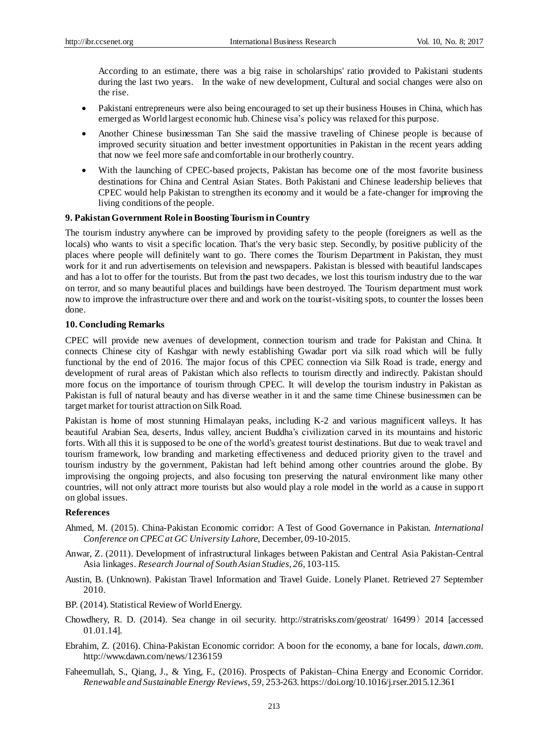According to an estimate, there was a big raise in scholarships' ratio provided to Pakistani students during the last two years. In the wake of new development, Cultural and social changes were also on the rise.

- Pakistani entrepreneurs were also being encouraged to set up their business Houses in China, which has emerged as World largest economic hub. Chinese visa's policy was relaxed for this purpose.
- Another Chinese businessman Tan She said the massive traveling of Chinese people is because of improved security situation and better investment opportunities in Pakistan in the recent years adding that now we feel more safe and comfortable in our brotherly country.
- With the launching of CPEC-based projects, Pakistan has become one of the most favorite business destinations for China and Central Asian States. Both Pakistani and Chinese leadership believes that CPEC would help Pakistan to strengthen its economy and it would be a fate-changer for improving the living conditions of the people.

#### **9. Pakistan Government Role in Boosting Tourism in Country**

The tourism industry anywhere can be improved by providing safety to the people (foreigners as well as the locals) who wants to visit a specific location. That's the very basic step. Secondly, by positive publicity of the places where people will definitely want to go. There comes the Tourism Department in Pakistan, they must work for it and run advertisements on television and newspapers. Pakistan is blessed with beautiful landscapes and has a lot to offer for the tourists. But from the past two decades, we lost this tourism industry due to the war on terror, and so many beautiful places and buildings have been destroyed. The Tourism department must work now to improve the infrastructure over there and and work on the tourist-visiting spots, to counter the losses been done.

#### **10. Concluding Remarks**

CPEC will provide new avenues of development, connection tourism and trade for Pakistan and China. It connects Chinese city of Kashgar with newly establishing Gwadar port via silk road which will be fully functional by the end of 2016. The major focus of this CPEC connection via Silk Road is trade, energy and development of rural areas of Pakistan which also reflects to tourism directly and indirectly. Pakistan should more focus on the importance of tourism through CPEC. It will develop the tourism industry in Pakistan as Pakistan is full of natural beauty and has diverse weather in it and the same time Chinese businessmen can be target market for tourist attraction on Silk Road.

Pakistan is home of most stunning Himalayan peaks, including K-2 and various magnificent valleys. It has beautiful Arabian Sea, deserts, Indus valley, ancient Buddha's civilization carved in its mountains and historic forts. With all this it is supposed to be one of the world's greatest tourist destinations. But due to weak travel and tourism framework, low branding and marketing effectiveness and deduced priority given to the travel and tourism industry by the government, Pakistan had left behind among other countries around the globe. By improvising the ongoing projects, and also focusing ton preserving the natural environment like many other countries, will not only attract more tourists but also would play a role model in the world as a cause in suppo rt on global issues.

#### **References**

- Ahmed, M. (2015). China-Pakistan Economic corridor: A Test of Good Governance in Pakistan. *International Conference on CPEC at GC University Lahore,* December, 09-10-2015*.*
- Anwar, Z. (2011). Development of infrastructural linkages between Pakistan and Central Asia Pakistan-Central Asia linkages. *Research Journal of South Asian Studies*, *26,* 103-115.
- Austin, B. (Unknown). Pakistan Travel Information and Travel Guide. Lonely Planet. Retrieved 27 September 2010.
- BP. (2014). Statistical Review of World Energy.
- Chowdhery, R. D. (2014). Sea change in oil security. http://stratrisks.com/geostrat/ 16499〉2014 [accessed 01.01.14].
- Ebrahim, Z. (2016). China-Pakistan Economic corridor: A boon for the economy, a bane for locals, *dawn.com*. <http://www.dawn.com/news/1236159>
- Faheemullah, S., Qiang, J., & Ying, F., (2016). Prospects of Pakistan–China Energy and Economic Corridor. *Renewable and Sustainable Energy Reviews, 59,* 253-263. https://doi.org/10.1016/j.rser.2015.12.361